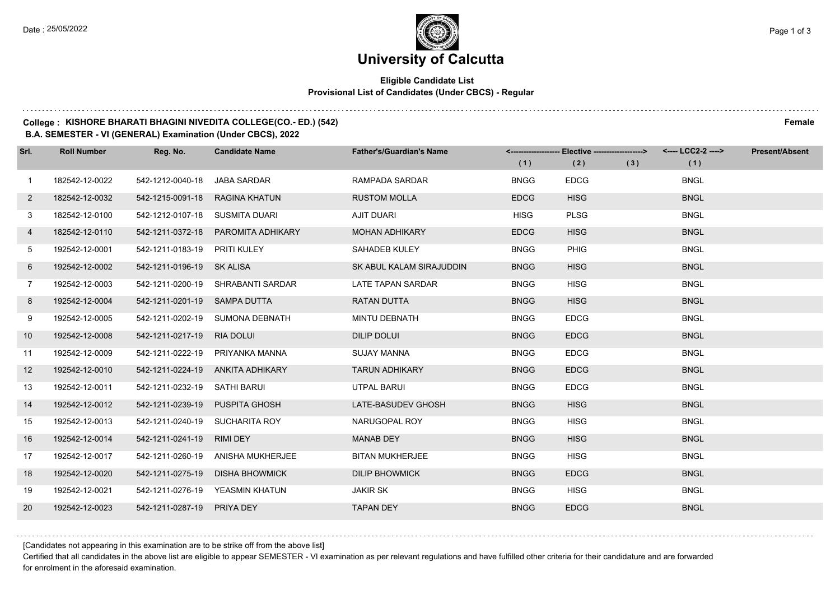# **University of Calcutta**

## **Eligible Candidate List Provisional List of Candidates (Under CBCS) - Regular**

## **College : KISHORE BHARATI BHAGINI NIVEDITA COLLEGE(CO.- ED.) (542) Female**

#### **B.A. SEMESTER - VI (GENERAL) Examination (Under CBCS), 2022**

| Srl.           | <b>Roll Number</b> | Reg. No.                       | <b>Candidate Name</b>             | <b>Father's/Guardian's Name</b> | (1)         | <-------------------- Elective ------------------><br>(2) | (3) | <---- LCC2-2 ----><br>(1) | <b>Present/Absent</b> |
|----------------|--------------------|--------------------------------|-----------------------------------|---------------------------------|-------------|-----------------------------------------------------------|-----|---------------------------|-----------------------|
|                |                    |                                |                                   |                                 |             |                                                           |     |                           |                       |
| $\mathbf{1}$   | 182542-12-0022     | 542-1212-0040-18               | <b>JABA SARDAR</b>                | RAMPADA SARDAR                  | <b>BNGG</b> | <b>EDCG</b>                                               |     | <b>BNGL</b>               |                       |
| $\overline{2}$ | 182542-12-0032     | 542-1215-0091-18               | RAGINA KHATUN                     | <b>RUSTOM MOLLA</b>             | <b>EDCG</b> | <b>HISG</b>                                               |     | <b>BNGL</b>               |                       |
| 3              | 182542-12-0100     | 542-1212-0107-18               | SUSMITA DUARI                     | <b>AJIT DUARI</b>               | <b>HISG</b> | <b>PLSG</b>                                               |     | <b>BNGL</b>               |                       |
| 4              | 182542-12-0110     | 542-1211-0372-18               | PAROMITA ADHIKARY                 | <b>MOHAN ADHIKARY</b>           | <b>EDCG</b> | <b>HISG</b>                                               |     | <b>BNGL</b>               |                       |
| 5              | 192542-12-0001     | 542-1211-0183-19               | PRITI KULEY                       | SAHADEB KULEY                   | <b>BNGG</b> | PHIG                                                      |     | <b>BNGL</b>               |                       |
| 6              | 192542-12-0002     | 542-1211-0196-19 SK ALISA      |                                   | SK ABUL KALAM SIRAJUDDIN        | <b>BNGG</b> | <b>HISG</b>                                               |     | <b>BNGL</b>               |                       |
| $\overline{7}$ | 192542-12-0003     |                                | 542-1211-0200-19 SHRABANTI SARDAR | LATE TAPAN SARDAR               | <b>BNGG</b> | <b>HISG</b>                                               |     | <b>BNGL</b>               |                       |
| 8              | 192542-12-0004     | 542-1211-0201-19 SAMPA DUTTA   |                                   | <b>RATAN DUTTA</b>              | <b>BNGG</b> | <b>HISG</b>                                               |     | <b>BNGL</b>               |                       |
| 9              | 192542-12-0005     | 542-1211-0202-19               | SUMONA DEBNATH                    | <b>MINTU DEBNATH</b>            | <b>BNGG</b> | <b>EDCG</b>                                               |     | <b>BNGL</b>               |                       |
| 10             | 192542-12-0008     | 542-1211-0217-19               | <b>RIA DOLUI</b>                  | <b>DILIP DOLUI</b>              | <b>BNGG</b> | <b>EDCG</b>                                               |     | <b>BNGL</b>               |                       |
| 11             | 192542-12-0009     |                                | 542-1211-0222-19 PRIYANKA MANNA   | <b>SUJAY MANNA</b>              | <b>BNGG</b> | <b>EDCG</b>                                               |     | <b>BNGL</b>               |                       |
| 12             | 192542-12-0010     |                                | 542-1211-0224-19 ANKITA ADHIKARY  | <b>TARUN ADHIKARY</b>           | <b>BNGG</b> | <b>EDCG</b>                                               |     | <b>BNGL</b>               |                       |
| 13             | 192542-12-0011     | 542-1211-0232-19               | SATHI BARUI                       | <b>UTPAL BARUI</b>              | <b>BNGG</b> | <b>EDCG</b>                                               |     | <b>BNGL</b>               |                       |
| 14             | 192542-12-0012     | 542-1211-0239-19               | <b>PUSPITA GHOSH</b>              | LATE-BASUDEV GHOSH              | <b>BNGG</b> | <b>HISG</b>                                               |     | <b>BNGL</b>               |                       |
| 15             | 192542-12-0013     | 542-1211-0240-19 SUCHARITA ROY |                                   | NARUGOPAL ROY                   | <b>BNGG</b> | <b>HISG</b>                                               |     | <b>BNGL</b>               |                       |
| 16             | 192542-12-0014     | 542-1211-0241-19               | RIMI DEY                          | <b>MANAB DEY</b>                | <b>BNGG</b> | <b>HISG</b>                                               |     | <b>BNGL</b>               |                       |
| 17             | 192542-12-0017     | 542-1211-0260-19               | ANISHA MUKHERJEE                  | <b>BITAN MUKHERJEE</b>          | <b>BNGG</b> | <b>HISG</b>                                               |     | <b>BNGL</b>               |                       |
| 18             | 192542-12-0020     | 542-1211-0275-19               | <b>DISHA BHOWMICK</b>             | <b>DILIP BHOWMICK</b>           | <b>BNGG</b> | <b>EDCG</b>                                               |     | <b>BNGL</b>               |                       |
| 19             | 192542-12-0021     |                                | 542-1211-0276-19 YEASMIN KHATUN   | <b>JAKIR SK</b>                 | <b>BNGG</b> | <b>HISG</b>                                               |     | <b>BNGL</b>               |                       |
| 20             | 192542-12-0023     | 542-1211-0287-19 PRIYA DEY     |                                   | <b>TAPAN DEY</b>                | <b>BNGG</b> | <b>EDCG</b>                                               |     | <b>BNGL</b>               |                       |

[Candidates not appearing in this examination are to be strike off from the above list]

Certified that all candidates in the above list are eligible to appear SEMESTER - VI examination as per relevant regulations and have fulfilled other criteria for their candidature and are forwarded for enrolment in the aforesaid examination.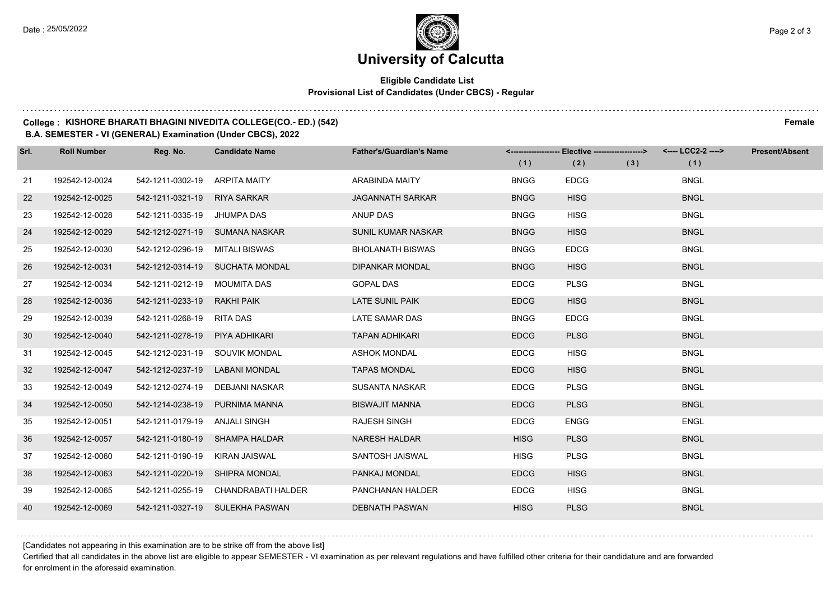$1.111$ 

# **University of Calcutta**

## **Eligible Candidate List Provisional List of Candidates (Under CBCS) - Regular**

## **College : KISHORE BHARATI BHAGINI NIVEDITA COLLEGE(CO.- ED.) (542) Female**

### **B.A. SEMESTER - VI (GENERAL) Examination (Under CBCS), 2022**

| Srl. | <b>Roll Number</b> | Reg. No.                       | <b>Candidate Name</b>               | <b>Father's/Guardian's Name</b> | (1)         | <------------------- Elective ------------------><br>(2) | (3) | (1)         | <b>Present/Absent</b> |
|------|--------------------|--------------------------------|-------------------------------------|---------------------------------|-------------|----------------------------------------------------------|-----|-------------|-----------------------|
| 21   | 192542-12-0024     | 542-1211-0302-19               | ARPITA MAITY                        | <b>ARABINDA MAITY</b>           | <b>BNGG</b> | <b>EDCG</b>                                              |     | <b>BNGL</b> |                       |
| 22   | 192542-12-0025     | 542-1211-0321-19               | <b>RIYA SARKAR</b>                  | <b>JAGANNATH SARKAR</b>         | <b>BNGG</b> | <b>HISG</b>                                              |     | <b>BNGL</b> |                       |
| 23   | 192542-12-0028     | 542-1211-0335-19               | JHUMPA DAS                          | ANUP DAS                        | <b>BNGG</b> | <b>HISG</b>                                              |     | <b>BNGL</b> |                       |
| 24   | 192542-12-0029     |                                | 542-1212-0271-19 SUMANA NASKAR      | <b>SUNIL KUMAR NASKAR</b>       | <b>BNGG</b> | <b>HISG</b>                                              |     | <b>BNGL</b> |                       |
| 25   | 192542-12-0030     | 542-1212-0296-19               | MITALI BISWAS                       | <b>BHOLANATH BISWAS</b>         | <b>BNGG</b> | <b>EDCG</b>                                              |     | <b>BNGL</b> |                       |
| 26   | 192542-12-0031     |                                | 542-1212-0314-19 SUCHATA MONDAL     | <b>DIPANKAR MONDAL</b>          | <b>BNGG</b> | <b>HISG</b>                                              |     | <b>BNGL</b> |                       |
| 27   | 192542-12-0034     | 542-1211-0212-19 MOUMITA DAS   |                                     | <b>GOPAL DAS</b>                | <b>EDCG</b> | <b>PLSG</b>                                              |     | <b>BNGL</b> |                       |
| 28   | 192542-12-0036     | 542-1211-0233-19 RAKHI PAIK    |                                     | LATE SUNIL PAIK                 | <b>EDCG</b> | <b>HISG</b>                                              |     | <b>BNGL</b> |                       |
| 29   | 192542-12-0039     | 542-1211-0268-19               | <b>RITA DAS</b>                     | LATE SAMAR DAS                  | <b>BNGG</b> | <b>EDCG</b>                                              |     | <b>BNGL</b> |                       |
| 30   | 192542-12-0040     | 542-1211-0278-19               | PIYA ADHIKARI                       | <b>TAPAN ADHIKARI</b>           | <b>EDCG</b> | <b>PLSG</b>                                              |     | <b>BNGL</b> |                       |
| 31   | 192542-12-0045     | 542-1212-0231-19 SOUVIK MONDAL |                                     | <b>ASHOK MONDAL</b>             | <b>EDCG</b> | <b>HISG</b>                                              |     | <b>BNGL</b> |                       |
| 32   | 192542-12-0047     | 542-1212-0237-19               | LABANI MONDAL                       | <b>TAPAS MONDAL</b>             | <b>EDCG</b> | <b>HISG</b>                                              |     | <b>BNGL</b> |                       |
| 33   | 192542-12-0049     | 542-1212-0274-19               | DEBJANI NASKAR                      | <b>SUSANTA NASKAR</b>           | <b>EDCG</b> | <b>PLSG</b>                                              |     | <b>BNGL</b> |                       |
| 34   | 192542-12-0050     | 542-1214-0238-19               | PURNIMA MANNA                       | <b>BISWAJIT MANNA</b>           | <b>EDCG</b> | <b>PLSG</b>                                              |     | <b>BNGL</b> |                       |
| 35   | 192542-12-0051     | 542-1211-0179-19 ANJALI SINGH  |                                     | <b>RAJESH SINGH</b>             | <b>EDCG</b> | <b>ENGG</b>                                              |     | <b>ENGL</b> |                       |
| 36   | 192542-12-0057     | 542-1211-0180-19 SHAMPA HALDAR |                                     | <b>NARESH HALDAR</b>            | <b>HISG</b> | <b>PLSG</b>                                              |     | <b>BNGL</b> |                       |
| 37   | 192542-12-0060     | 542-1211-0190-19               | KIRAN JAISWAL                       | SANTOSH JAISWAL                 | <b>HISG</b> | <b>PLSG</b>                                              |     | <b>BNGL</b> |                       |
| 38   | 192542-12-0063     | 542-1211-0220-19               | SHIPRA MONDAL                       | PANKAJ MONDAL                   | <b>EDCG</b> | <b>HISG</b>                                              |     | <b>BNGL</b> |                       |
| 39   | 192542-12-0065     |                                | 542-1211-0255-19 CHANDRABATI HALDER | PANCHANAN HALDER                | <b>EDCG</b> | <b>HISG</b>                                              |     | <b>BNGL</b> |                       |
| 40   | 192542-12-0069     |                                | 542-1211-0327-19 SULEKHA PASWAN     | <b>DEBNATH PASWAN</b>           | <b>HISG</b> | <b>PLSG</b>                                              |     | <b>BNGL</b> |                       |

[Candidates not appearing in this examination are to be strike off from the above list]

Certified that all candidates in the above list are eligible to appear SEMESTER - VI examination as per relevant regulations and have fulfilled other criteria for their candidature and are forwarded for enrolment in the aforesaid examination.